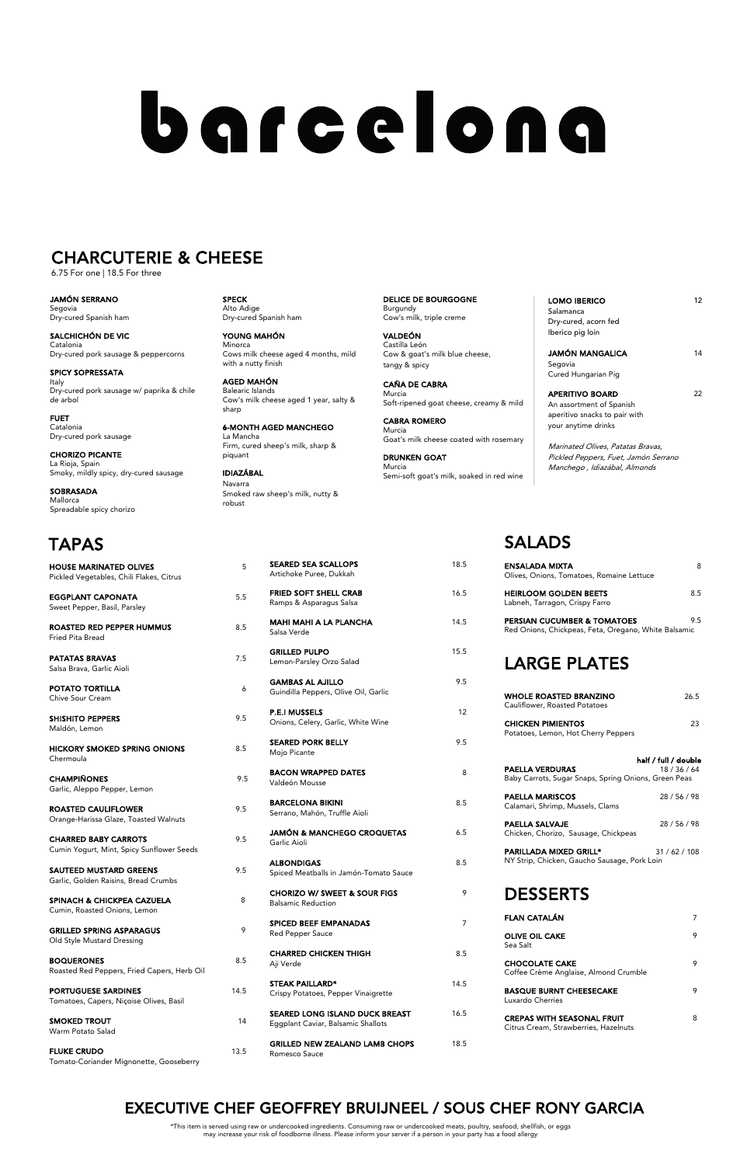SPECK Alto Adige Dry-cured Spanish ham

YOUNG MAHÓN Minorca Cows milk cheese aged 4 months, mild with a nutty finish

AGED MAHÓN Balearic Islands Cow's milk cheese aged 1 year, salty &

sharp

6-MONTH AGED MANCHEGO La Mancha Firm, cured sheep's milk, sharp & piquant

IDIAZÁBAL Navarra Smoked raw sheep's milk, nutty & robust

DELICE DE BOURGOGNE Burgundy Cow's milk, triple creme

VALDEÓN Castilla León Cow & goat's milk blue cheese, tangy & spicy

> APERITIVO BOARD 22 An assortment of Spanish aperitivo snacks to pair with your anytime drinks

CAÑA DE CABRA Murcia Soft-ripened goat cheese, creamy & mild

CABRA ROMERO Murcia Goat's milk cheese coated with rosemary

DRUNKEN GOAT Murcia Semi-soft goat's milk, soaked in red wine

| LOMO IBERICO         | 12 |
|----------------------|----|
| Salamanca            |    |
| Dry-cured, acorn fed |    |
| Iberico pig loin     |    |
|                      |    |
| JAMÓN MANGALICA      | 14 |
| Segovia              |    |
| Cured Hungarian Pig  |    |
|                      |    |

Marinated Olives, Patatas Bravas, Pickled Peppers, Fuet, Jamón Serrano Manchego , Idiazábal, Almonds

JAMÓN SERRANO Segovia Dry-cured Spanish ham

SALCHICHÓN DE VIC Catalonia Dry-cured pork sausage & peppercorns

SPICY SOPRESSATA Italy Dry-cured pork sausage w/ paprika & chile de arbol

FUET Catalonia Dry-cured pork sausage

CHORIZO PICANTE La Rioja, Spain

Smoky, mildly spicy, dry-cured sausage

SOBRASADA Mallorca

Spreadable spicy chorizo

# barcelona

## CHARCUTERIE & CHEESE

6.75 For one | 18.5 For three

Artichoke Puree, Dukkah

Ramps & Asparagus Salsa

Garlic Aioli

#### $\ddot{\phantom{0}}$ EXECUTIVE CHEF GEOFFREY BRUIJNEEL / SOUS CHEF RONY GARCIA

| 5 | <b>ALBONDIGAS</b><br>Spiced Meatballs in Jamón-Tomato Sauce          | 8.5  |
|---|----------------------------------------------------------------------|------|
|   | <b>CHORIZO W/ SWEET &amp; SOUR FIGS</b><br><b>Balsamic Reduction</b> | 9    |
|   | <b>SPICED BEEF EMPANADAS</b><br>Red Pepper Sauce                     | 7    |
| 5 | <b>CHARRED CHICKEN THIGH</b><br>Aji Verde                            | 8.5  |
| 5 | <b>STEAK PAILLARD*</b><br>Crispy Potatoes, Pepper Vinaigrette        | 14.5 |
| 4 | SEARED LONG ISLAND DUCK BREAST<br>Eggplant Caviar, Balsamic Shallots | 16.5 |
| 5 | <b>GRILLED NEW ZEALAND LAMB CHOPS</b><br>Romesco Sauce               | 18.5 |

| <b>HOUSE MARINATED OLIVES</b><br>Pickled Vegetables, Chili Flakes, Citrus | 5    |
|---------------------------------------------------------------------------|------|
| <b>EGGPLANT CAPONATA</b><br>Sweet Pepper, Basil, Parsley                  | 5.5  |
| <b>ROASTED RED PEPPER HUMMUS</b><br>Fried Pita Bread                      | 8.5  |
| <b>PATATAS BRAVAS</b><br>Salsa Brava, Garlic Aioli                        | 7.5  |
| <b>POTATO TORTILLA</b><br><b>Chive Sour Cream</b>                         | 6    |
| <b>SHISHITO PEPPERS</b><br>Maldón, Lemon                                  | 9.5  |
| <b>HICKORY SMOKED SPRING ONIONS</b><br>Chermoula                          | 8.5  |
| <b>CHAMPIÑONES</b><br>Garlic, Aleppo Pepper, Lemon                        | 9.5  |
| <b>ROASTED CAULIFLOWER</b><br>Orange-Harissa Glaze, Toasted Walnuts       | 9.5  |
| <b>CHARRED BABY CARROTS</b><br>Cumin Yogurt, Mint, Spicy Sunflower Seeds  | 9.5  |
| <b>SAUTEED MUSTARD GREENS</b><br>Garlic, Golden Raisins, Bread Crumbs     | 9.5  |
| SPINACH & CHICKPEA CAZUELA<br>Cumin, Roasted Onions, Lemon                | 8    |
| <b>GRILLED SPRING ASPARAGUS</b><br>Old Style Mustard Dressing             | 9    |
| <b>BOQUERONES</b><br>Roasted Red Peppers, Fried Capers, Herb Oil          | 8.5  |
| <b>ORTUGUESE SARDINES</b><br>Tomatoes, Capers, Niçoise Olives, Basil      | 14.5 |
| <b>SMOKED TROUT</b><br>Warm Potato Salad                                  | 14   |
| <b>FLUKE CRUDO</b><br>Tomato-Coriander Mignonette, Gooseberry             | 13.5 |

# SALADS

| ENSALADA MIXTA<br>Olives, Onions, Tomatoes, Romaine Lettuce                                    | 8                                    |
|------------------------------------------------------------------------------------------------|--------------------------------------|
| <b>HEIRLOOM GOLDEN BEETS</b><br>Labneh, Tarragon, Crispy Farro                                 | 8.5                                  |
| <b>PERSIAN CUCUMBER &amp; TOMATOES</b><br>Red Onions, Chickpeas, Feta, Oregano, White Balsamic | 9.5                                  |
| <b>LARGE PLATES</b>                                                                            |                                      |
| <b>WHOLE ROASTED BRANZINO</b><br>Cauliflower, Roasted Potatoes                                 | 26.5                                 |
| <b>CHICKEN PIMIENTOS</b><br>Potatoes, Lemon, Hot Cherry Peppers                                | 23                                   |
| <b>PAELLA VERDURAS</b><br>Baby Carrots, Sugar Snaps, Spring Onions, Green Peas                 | half / full / double<br>18 / 36 / 64 |
| <b>PAELLA MARISCOS</b>                                                                         | 28 / 56 / 98                         |

| Calamari, Shrimp, Mussels, Clams                              |           |
|---------------------------------------------------------------|-----------|
| <b>PAELLA SALVAJE</b><br>Chicken, Chorizo, Sausage, Chickpeas | 28/56/98  |
| <b>PARILLADA MIXED GRILL*</b>                                 | 31/62/108 |

**MAHI MAHI A LA PLANCHA** 14.5 Salsa Verde GRILLED PULPO 15.5 Lemon-Parsley Orzo Salad GAMBAS AL AJILLO 9.5 Guindilla Peppers, Olive Oil, Garlic P.E.I MUSSELS 12 Onions, Celery, Garlic, White Wine SEARED PORK BELLY 9.5 Mojo Picante BACON WRAPPED DATES 8 Valdeón Mousse BARCELONA BIKINI 8.5 Serrano, Mahón, Truffle Aioli JAMÓN & MANCHEGO CROQUETAS 6.5

SEARED SEA SCALLOPS 18.5

FRIED SOFT SHELL CRAB 16.5

| NY Strip, Chicken, Gaucho Sausage, Pork Loin |  |  |  |
|----------------------------------------------|--|--|--|
|----------------------------------------------|--|--|--|

| <b>DESSERTS</b> |  |
|-----------------|--|
|-----------------|--|

| <b>FLAN CATALÁN</b>                                                        |   |
|----------------------------------------------------------------------------|---|
| <b>OLIVE OIL CAKE</b><br>Sea Salt                                          | 9 |
| <b>CHOCOLATE CAKE</b><br>Coffee Crème Anglaise, Almond Crumble             | 9 |
| <b>BASQUE BURNT CHEESECAKE</b><br>Luxardo Cherries                         | 9 |
| <b>CREPAS WITH SEASONAL FRUIT</b><br>Citrus Cream, Strawberries, Hazelnuts | 8 |

# TAPAS

 \*This item is served using raw or undercooked ingredients. Consuming raw or undercooked meats, poultry, seafood, shellfish, or eggs may increase your risk of foodborne illness. Please inform your server if a person in your party has a food allergy